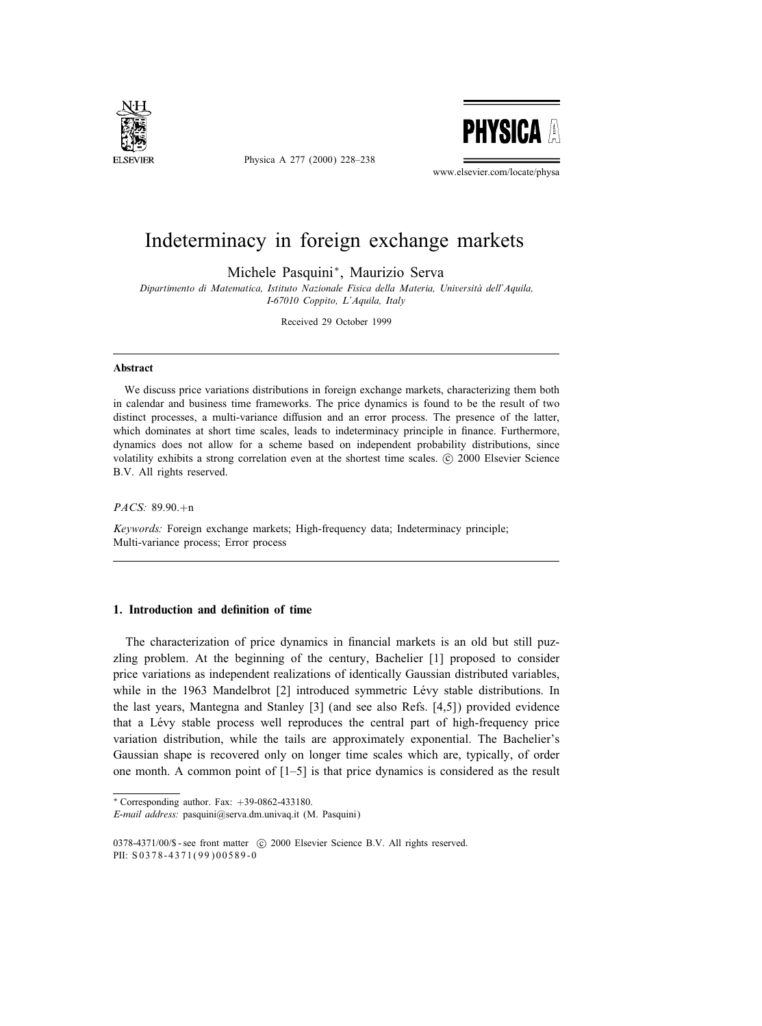

Physica A 277 (2000) 228–238



www.elsevier.com/locate/physa

## Indeterminacy in foreign exchange markets

Michele Pasquini∗, Maurizio Serva

Dipartimento di Matematica, Istituto Nazionale Fisica della Materia, Universita dell'Aquila, I-67010 Coppito, L'Aquila, Italy

Received 29 October 1999

#### Abstract

We discuss price variations distributions in foreign exchange markets, characterizing them both in calendar and business time frameworks. The price dynamics is found to be the result of two distinct processes, a multi-variance diffusion and an error process. The presence of the latter, which dominates at short time scales, leads to indeterminacy principle in finance. Furthermore, dynamics does not allow for a scheme based on independent probability distributions, since volatility exhibits a strong correlation even at the shortest time scales. (c) 2000 Elsevier Science B.V. All rights reserved.

### PACS: 89.90.+n

Keywords: Foreign exchange markets; High-frequency data; Indeterminacy principle; Multi-variance process; Error process

#### 1. Introduction and definition of time

The characterization of price dynamics in financial markets is an old but still puzzling problem. At the beginning of the century, Bachelier [1] proposed to consider price variations as independent realizations of identically Gaussian distributed variables, while in the 1963 Mandelbrot [2] introduced symmetric Lévy stable distributions. In the last years, Mantegna and Stanley [3] (and see also Refs. [4,5]) provided evidence that a Levy stable process well reproduces the central part of high-frequency price variation distribution, while the tails are approximately exponential. The Bachelier's Gaussian shape is recovered only on longer time scales which are, typically, of order one month. A common point of [1–5] is that price dynamics is considered as the result

<sup>∗</sup> Corresponding author. Fax: +39-0862-433180.

E-mail address: pasquini@serva.dm.univaq.it (M. Pasquini)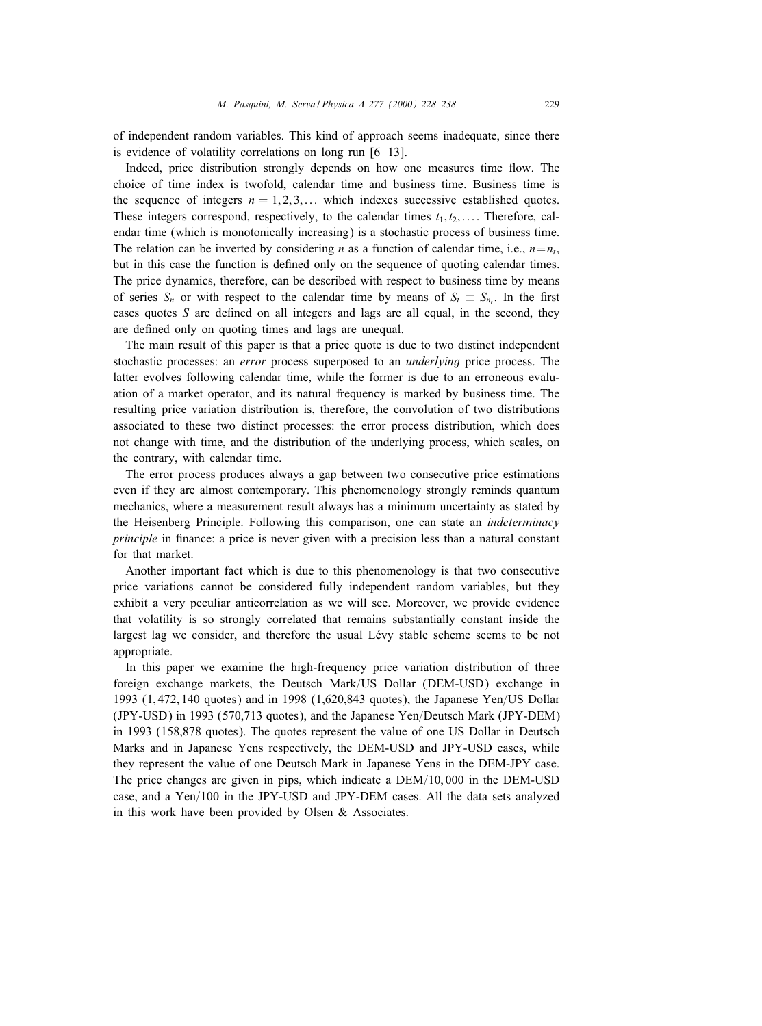of independent random variables. This kind of approach seems inadequate, since there is evidence of volatility correlations on long run  $[6-13]$ .

Indeed, price distribution strongly depends on how one measures time flow. The choice of time index is twofold, calendar time and business time. Business time is the sequence of integers  $n = 1, 2, 3, \dots$  which indexes successive established quotes. These integers correspond, respectively, to the calendar times  $t_1, t_2, \ldots$ . Therefore, calendar time (which is monotonically increasing) is a stochastic process of business time. The relation can be inverted by considering *n* as a function of calendar time, i.e.,  $n=n<sub>t</sub>$ , but in this case the function is defined only on the sequence of quoting calendar times. The price dynamics, therefore, can be described with respect to business time by means of series  $S_n$  or with respect to the calendar time by means of  $S_t \equiv S_{n_t}$ . In the first cases quotes  $S$  are defined on all integers and lags are all equal, in the second, they are defined only on quoting times and lags are unequal.

The main result of this paper is that a price quote is due to two distinct independent stochastic processes: an error process superposed to an underlying price process. The latter evolves following calendar time, while the former is due to an erroneous evaluation of a market operator, and its natural frequency is marked by business time. The resulting price variation distribution is, therefore, the convolution of two distributions associated to these two distinct processes: the error process distribution, which does not change with time, and the distribution of the underlying process, which scales, on the contrary, with calendar time.

The error process produces always a gap between two consecutive price estimations even if they are almost contemporary. This phenomenology strongly reminds quantum mechanics, where a measurement result always has a minimum uncertainty as stated by the Heisenberg Principle. Following this comparison, one can state an indeterminacy principle in finance: a price is never given with a precision less than a natural constant for that market.

Another important fact which is due to this phenomenology is that two consecutive price variations cannot be considered fully independent random variables, but they exhibit a very peculiar anticorrelation as we will see. Moreover, we provide evidence that volatility is so strongly correlated that remains substantially constant inside the largest lag we consider, and therefore the usual Lévy stable scheme seems to be not appropriate.

In this paper we examine the high-frequency price variation distribution of three foreign exchange markets, the Deutsch Mark/US Dollar (DEM-USD) exchange in 1993 (1,472, 140 quotes) and in 1998 (1,620,843 quotes), the Japanese Yen/US Dollar  $(JPY-USD)$  in 1993 (570,713 quotes), and the Japanese Yen/Deutsch Mark (JPY-DEM) in 1993 (158,878 quotes). The quotes represent the value of one US Dollar in Deutsch Marks and in Japanese Yens respectively, the DEM-USD and JPY-USD cases, while they represent the value of one Deutsch Mark in Japanese Yens in the DEM-JPY case. The price changes are given in pips, which indicate a  $DEM/10,000$  in the DEM-USD case, and a  $Yen/100$  in the JPY-USD and JPY-DEM cases. All the data sets analyzed in this work have been provided by Olsen & Associates.